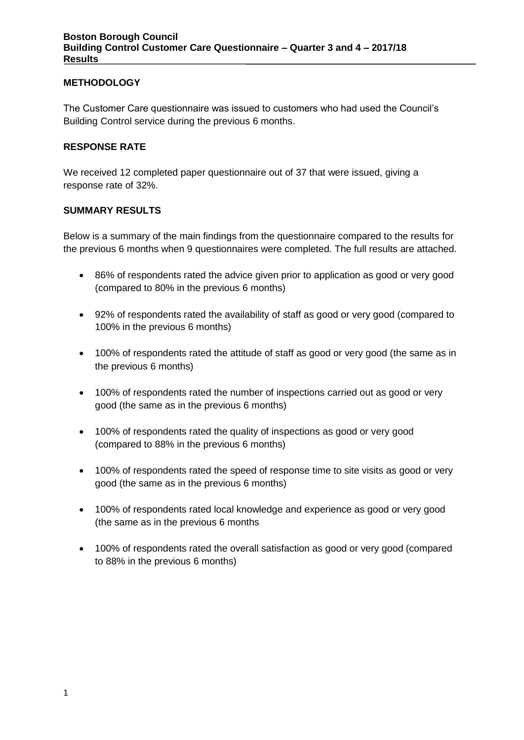## **METHODOLOGY**

The Customer Care questionnaire was issued to customers who had used the Council's Building Control service during the previous 6 months.

### **RESPONSE RATE**

We received 12 completed paper questionnaire out of 37 that were issued, giving a response rate of 32%.

### **SUMMARY RESULTS**

Below is a summary of the main findings from the questionnaire compared to the results for the previous 6 months when 9 questionnaires were completed. The full results are attached.

- 86% of respondents rated the advice given prior to application as good or very good (compared to 80% in the previous 6 months)
- 92% of respondents rated the availability of staff as good or very good (compared to 100% in the previous 6 months)
- 100% of respondents rated the attitude of staff as good or very good (the same as in the previous 6 months)
- 100% of respondents rated the number of inspections carried out as good or very good (the same as in the previous 6 months)
- 100% of respondents rated the quality of inspections as good or very good (compared to 88% in the previous 6 months)
- 100% of respondents rated the speed of response time to site visits as good or very good (the same as in the previous 6 months)
- 100% of respondents rated local knowledge and experience as good or very good (the same as in the previous 6 months
- 100% of respondents rated the overall satisfaction as good or very good (compared to 88% in the previous 6 months)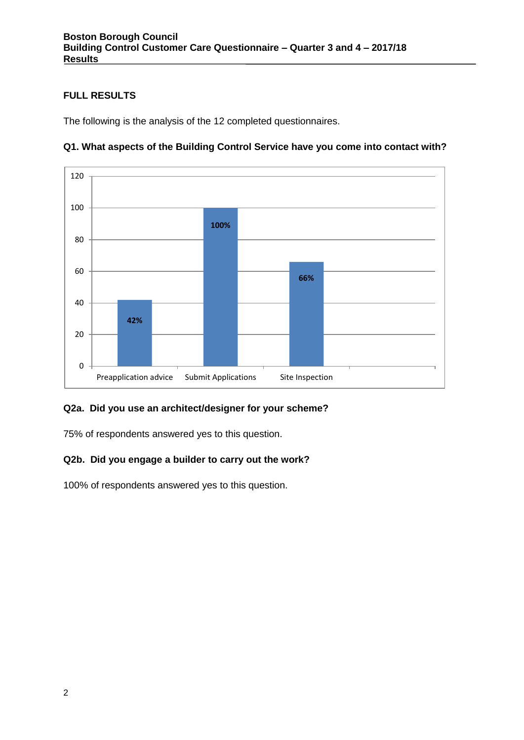# **FULL RESULTS**

The following is the analysis of the 12 completed questionnaires.



## **Q1. What aspects of the Building Control Service have you come into contact with?**

## **Q2a. Did you use an architect/designer for your scheme?**

75% of respondents answered yes to this question.

## **Q2b. Did you engage a builder to carry out the work?**

100% of respondents answered yes to this question.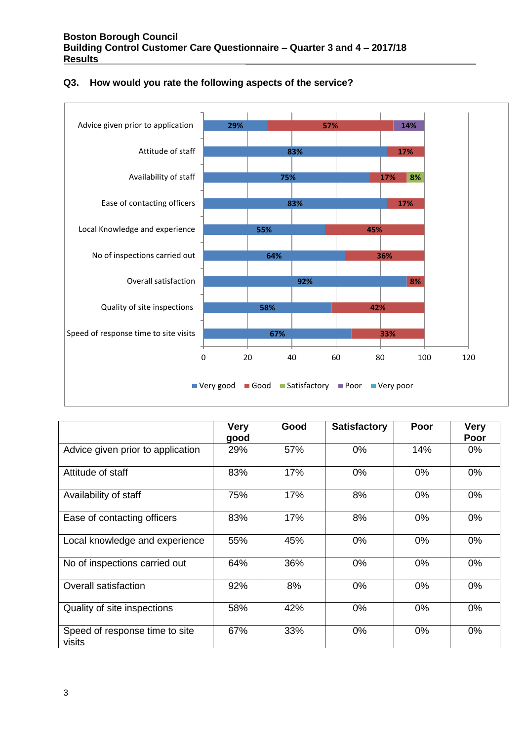

#### **Q3. How would you rate the following aspects of the service?**

|                                          | <b>Very</b><br>good | Good | <b>Satisfactory</b> | Poor  | <b>Very</b><br>Poor |
|------------------------------------------|---------------------|------|---------------------|-------|---------------------|
| Advice given prior to application        | 29%                 | 57%  | $0\%$               | 14%   | $0\%$               |
| Attitude of staff                        | 83%                 | 17%  | $0\%$               | $0\%$ | $0\%$               |
| Availability of staff                    | 75%                 | 17%  | 8%                  | 0%    | $0\%$               |
| Ease of contacting officers              | 83%                 | 17%  | 8%                  | $0\%$ | 0%                  |
| Local knowledge and experience           | 55%                 | 45%  | 0%                  | 0%    | $0\%$               |
| No of inspections carried out            | 64%                 | 36%  | 0%                  | 0%    | 0%                  |
| Overall satisfaction                     | 92%                 | 8%   | 0%                  | 0%    | 0%                  |
| Quality of site inspections              | 58%                 | 42%  | $0\%$               | $0\%$ | 0%                  |
| Speed of response time to site<br>visits | 67%                 | 33%  | 0%                  | 0%    | $0\%$               |